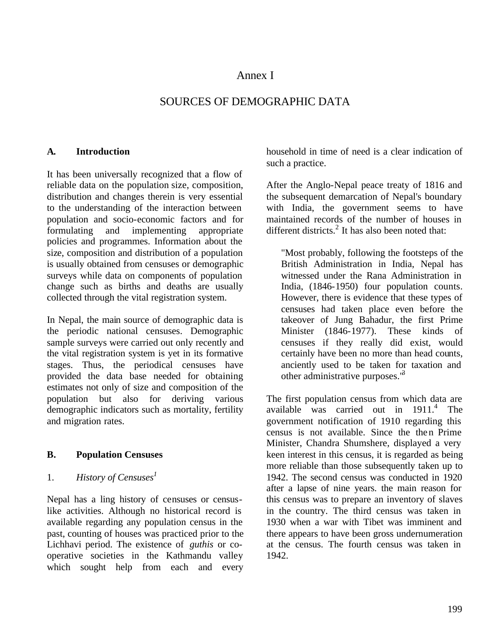# Annex I

# SOURCES OF DEMOGRAPHIC DATA

#### **A. Introduction**

It has been universally recognized that a flow of reliable data on the population size, composition, distribution and changes therein is very essential to the understanding of the interaction between population and socio-economic factors and for formulating and implementing appropriate policies and programmes. Information about the size, composition and distribution of a population is usually obtained from censuses or demographic surveys while data on components of population change such as births and deaths are usually collected through the vital registration system.

In Nepal, the main source of demographic data is the periodic national censuses. Demographic sample surveys were carried out only recently and the vital registration system is yet in its formative stages. Thus, the periodical censuses have provided the data base needed for obtaining estimates not only of size and composition of the population but also for deriving various demographic indicators such as mortality, fertility and migration rates.

### **B. Population Censuses**

### 1. *History of Censuses<sup>1</sup>*

Nepal has a ling history of censuses or censuslike activities. Although no historical record is available regarding any population census in the past, counting of houses was practiced prior to the Lichhavi period. The existence of *guthis* or cooperative societies in the Kathmandu valley which sought help from each and every household in time of need is a clear indication of such a practice.

After the Anglo-Nepal peace treaty of 1816 and the subsequent demarcation of Nepal's boundary with India, the government seems to have maintained records of the number of houses in different districts. $^{2}$  It has also been noted that:

"Most probably, following the footsteps of the British Administration in India, Nepal has witnessed under the Rana Administration in India, (1846-1950) four population counts. However, there is evidence that these types of censuses had taken place even before the takeover of Jung Bahadur, the first Prime Minister (1846-1977). These kinds of censuses if they really did exist, would certainly have been no more than head counts, anciently used to be taken for taxation and other administrative purposes.<sup>18</sup>

The first population census from which data are available was carried out in 1911.<sup>4</sup> The government notification of 1910 regarding this census is not available. Since the then Prime Minister, Chandra Shumshere, displayed a very keen interest in this census, it is regarded as being more reliable than those subsequently taken up to 1942. The second census was conducted in 1920 after a lapse of nine years. the main reason for this census was to prepare an inventory of slaves in the country. The third census was taken in 1930 when a war with Tibet was imminent and there appears to have been gross undernumeration at the census. The fourth census was taken in 1942.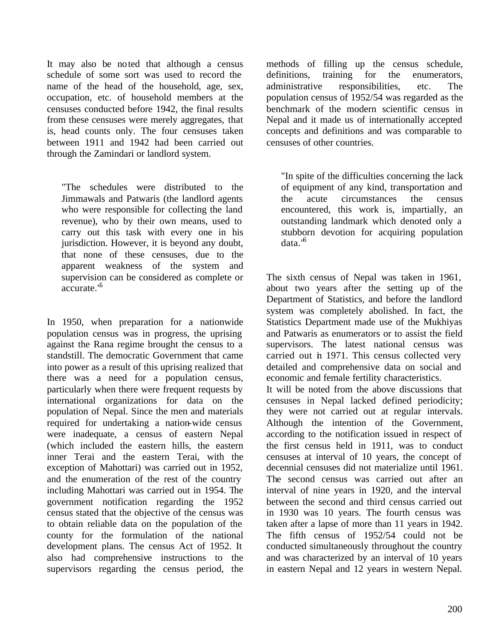It may also be noted that although a census schedule of some sort was used to record the name of the head of the household, age, sex, occupation, etc. of household members at the censuses conducted before 1942, the final results from these censuses were merely aggregates, that is, head counts only. The four censuses taken between 1911 and 1942 had been carried out through the Zamindari or landlord system.

"The schedules were distributed to the Jimmawals and Patwaris (the landlord agents who were responsible for collecting the land revenue), who by their own means, used to carry out this task with every one in his jurisdiction. However, it is beyond any doubt, that none of these censuses, due to the apparent weakness of the system and supervision can be considered as complete or  $accurate$ <sup> $5$ </sup>

In 1950, when preparation for a nationwide population census was in progress, the uprising against the Rana regime brought the census to a standstill. The democratic Government that came into power as a result of this uprising realized that there was a need for a population census, particularly when there were frequent requests by international organizations for data on the population of Nepal. Since the men and materials required for undertaking a nation-wide census were inadequate, a census of eastern Nepal (which included the eastern hills, the eastern inner Terai and the eastern Terai, with the exception of Mahottari) was carried out in 1952, and the enumeration of the rest of the country including Mahottari was carried out in 1954. The government notification regarding the 1952 census stated that the objective of the census was to obtain reliable data on the population of the county for the formulation of the national development plans. The census Act of 1952. It also had comprehensive instructions to the supervisors regarding the census period, the

methods of filling up the census schedule, definitions, training for the enumerators, administrative responsibilities, etc. The population census of 1952/54 was regarded as the benchmark of the modern scientific census in Nepal and it made us of internationally accepted concepts and definitions and was comparable to censuses of other countries.

"In spite of the difficulties concerning the lack of equipment of any kind, transportation and the acute circumstances the census encountered, this work is, impartially, an outstanding landmark which denoted only a stubborn devotion for acquiring population data."<sup>6</sup>

The sixth census of Nepal was taken in 1961, about two years after the setting up of the Department of Statistics, and before the landlord system was completely abolished. In fact, the Statistics Department made use of the Mukhiyas and Patwaris as enumerators or to assist the field supervisors. The latest national census was carried out in 1971. This census collected very detailed and comprehensive data on social and economic and female fertility characteristics.

It will be noted from the above discussions that censuses in Nepal lacked defined periodicity; they were not carried out at regular intervals. Although the intention of the Government, according to the notification issued in respect of the first census held in 1911, was to conduct censuses at interval of 10 years, the concept of decennial censuses did not materialize until 1961. The second census was carried out after an interval of nine years in 1920, and the interval between the second and third census carried out in 1930 was 10 years. The fourth census was taken after a lapse of more than 11 years in 1942. The fifth census of 1952/54 could not be conducted simultaneously throughout the country and was characterized by an interval of 10 years in eastern Nepal and 12 years in western Nepal.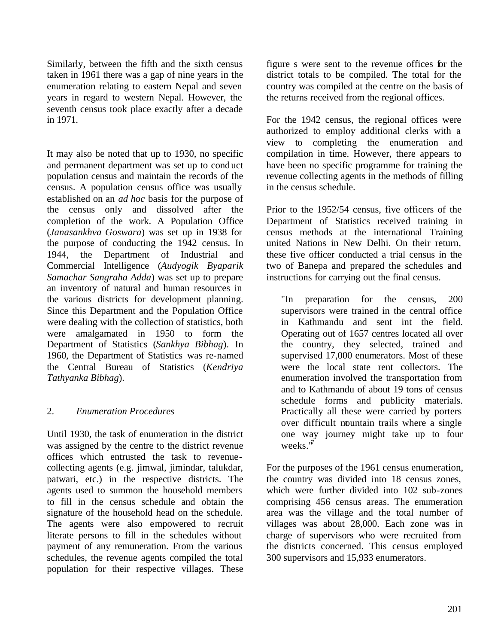Similarly, between the fifth and the sixth census taken in 1961 there was a gap of nine years in the enumeration relating to eastern Nepal and seven years in regard to western Nepal. However, the seventh census took place exactly after a decade in 1971.

It may also be noted that up to 1930, no specific and permanent department was set up to conduct population census and maintain the records of the census. A population census office was usually established on an *ad hoc* basis for the purpose of the census only and dissolved after the completion of the work. A Population Office (*Janasankhva Goswara*) was set up in 1938 for the purpose of conducting the 1942 census. In 1944, the Department of Industrial and Commercial Intelligence (*Audyogik Byaparik Samachar Sangraha Adda*) was set up to prepare an inventory of natural and human resources in the various districts for development planning. Since this Department and the Population Office were dealing with the collection of statistics, both were amalgamated in 1950 to form the Department of Statistics (*Sankhya Bibhag*). In 1960, the Department of Statistics was re-named the Central Bureau of Statistics (*Kendriya Tathyanka Bibhag*).

### 2. *Enumeration Procedures*

Until 1930, the task of enumeration in the district was assigned by the centre to the district revenue offices which entrusted the task to revenuecollecting agents (e.g. jimwal, jimindar, talukdar, patwari, etc.) in the respective districts. The agents used to summon the household members to fill in the census schedule and obtain the signature of the household head on the schedule. The agents were also empowered to recruit literate persons to fill in the schedules without payment of any remuneration. From the various schedules, the revenue agents compiled the total population for their respective villages. These

figure s were sent to the revenue offices for the district totals to be compiled. The total for the country was compiled at the centre on the basis of the returns received from the regional offices.

For the 1942 census, the regional offices were authorized to employ additional clerks with a view to completing the enumeration and compilation in time. However, there appears to have been no specific programme for training the revenue collecting agents in the methods of filling in the census schedule.

Prior to the 1952/54 census, five officers of the Department of Statistics received training in census methods at the international Training united Nations in New Delhi. On their return, these five officer conducted a trial census in the two of Banepa and prepared the schedules and instructions for carrying out the final census.

"In preparation for the census, 200 supervisors were trained in the central office in Kathmandu and sent int the field. Operating out of 1657 centres located all over the country, they selected, trained and supervised 17,000 enumerators. Most of these were the local state rent collectors. The enumeration involved the transportation from and to Kathmandu of about 19 tons of census schedule forms and publicity materials. Practically all these were carried by porters over difficult mountain trails where a single one way journey might take up to four weeks. $\overline{v}$ 

For the purposes of the 1961 census enumeration, the country was divided into 18 census zones, which were further divided into 102 sub-zones comprising 456 census areas. The enumeration area was the village and the total number of villages was about 28,000. Each zone was in charge of supervisors who were recruited from the districts concerned. This census employed 300 supervisors and 15,933 enumerators.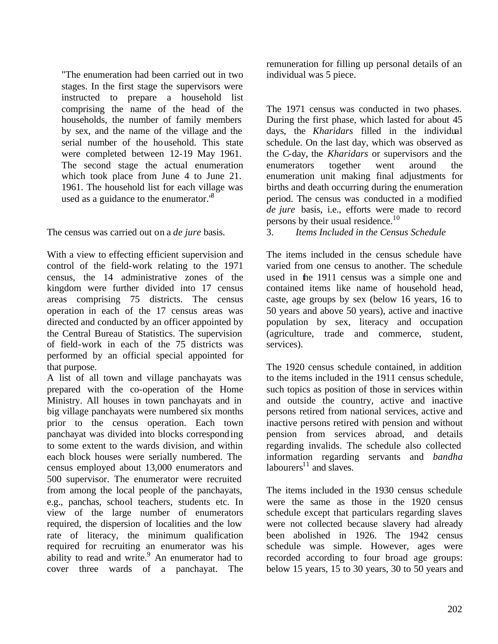"The enumeration had been carried out in two stages. In the first stage the supervisors were instructed to prepare a household list comprising the name of the head of the households, the number of family members by sex, and the name of the village and the serial number of the household. This state were completed between 12-19 May 1961. The second stage the actual enumeration which took place from June 4 to June 21. 1961. The household list for each village was used as a guidance to the enumerator.<sup>8</sup>

The census was carried out on a *de jure* basis.

With a view to effecting efficient supervision and control of the field-work relating to the 1971 census, the 14 administrative zones of the kingdom were further divided into 17 census areas comprising 75 districts. The census operation in each of the 17 census areas was directed and conducted by an officer appointed by the Central Bureau of Statistics. The supervision of field-work in each of the 75 districts was performed by an official special appointed for that purpose.

A list of all town and village panchayats was prepared with the co-operation of the Home Ministry. All houses in town panchayats and in big village panchayats were numbered six months prior to the census operation. Each town panchayat was divided into blocks corresponding to some extent to the wards division, and within each block houses were serially numbered. The census employed about 13,000 enumerators and 500 supervisor. The enumerator were recruited from among the local people of the panchayats, e.g., panchas, school teachers, students etc. In view of the large number of enumerators required, the dispersion of localities and the low rate of literacy, the minimum qualification required for recruiting an enumerator was his ability to read and write. $9$  An enumerator had to cover three wards of a panchayat. The

remuneration for filling up personal details of an individual was 5 piece.

The 1971 census was conducted in two phases. During the first phase, which lasted for about 45 days, the *Kharidars* filled in the individual schedule. On the last day, which was observed as the C-day, the *Kharidars* or supervisors and the enumerators together went around the enumeration unit making final adjustments for births and death occurring during the enumeration period. The census was conducted in a modified *de jure* basis, i.e., efforts were made to record persons by their usual residence. $10$ 

3. *Items Included in the Census Schedule*

The items included in the census schedule have varied from one census to another. The schedule used in the 1911 census was a simple one and contained items like name of household head, caste, age groups by sex (below 16 years, 16 to 50 years and above 50 years), active and inactive population by sex, literacy and occupation (agriculture, trade and commerce, student, services).

The 1920 census schedule contained, in addition to the items included in the 1911 census schedule, such topics as position of those in services within and outside the country, active and inactive persons retired from national services, active and inactive persons retired with pension and without pension from services abroad, and details regarding invalids. The schedule also collected information regarding servants and *bandha*  labourers $^{11}$  and slaves.

The items included in the 1930 census schedule were the same as those in the 1920 census schedule except that particulars regarding slaves were not collected because slavery had already been abolished in 1926. The 1942 census schedule was simple. However, ages were recorded according to four broad age groups: below 15 years, 15 to 30 years, 30 to 50 years and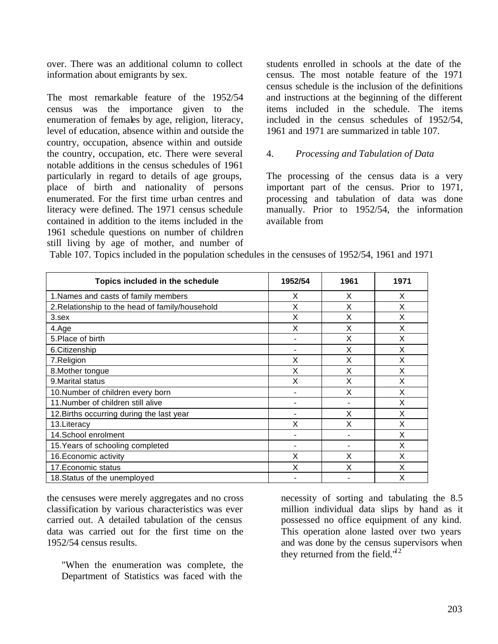over. There was an additional column to collect information about emigrants by sex.

The most remarkable feature of the 1952/54 census was the importance given to the enumeration of females by age, religion, literacy, level of education, absence within and outside the country, occupation, absence within and outside the country, occupation, etc. There were several notable additions in the census schedules of 1961 particularly in regard to details of age groups, place of birth and nationality of persons enumerated. For the first time urban centres and literacy were defined. The 1971 census schedule contained in addition to the items included in the 1961 schedule questions on number of children still living by age of mother, and number of students enrolled in schools at the date of the census. The most notable feature of the 1971 census schedule is the inclusion of the definitions and instructions at the beginning of the different items included in the schedule. The items included in the census schedules of 1952/54, 1961 and 1971 are summarized in table 107.

#### 4. *Processing and Tabulation of Data*

The processing of the census data is a very important part of the census. Prior to 1971, processing and tabulation of data was done manually. Prior to 1952/54, the information available from

| Topics included in the schedule                 | 1952/54 | 1961 | 1971 |
|-------------------------------------------------|---------|------|------|
| 1. Names and casts of family members            | X       | X    | X    |
| 2. Relationship to the head of family/household | X       | X    | X    |
| $3.$ sex                                        | X       | X    | X    |
| 4.Age                                           | X       | X    | X    |
| 5. Place of birth                               |         | X    | X    |
| 6. Citizenship                                  | ۰       | Χ    | x    |
| 7.Religion                                      | X       | X    | X    |
| 8. Mother tongue                                | X       | X    | X    |
| 9. Marital status                               | Χ       | X    | X    |
| 10.Number of children every born                | -       | X    | X    |
| 11. Number of children still alive              | -       |      | X    |
| 12. Births occurring during the last year       | -       | X    | X    |
| 13. Literacy                                    | Χ       | X    | X    |
| 14. School enrolment                            |         |      | X    |
| 15. Years of schooling completed                | ۰       |      | X    |
| 16. Economic activity                           | X       | X    | X    |
| 17. Economic status                             | Χ       | X    | X    |
| 18. Status of the unemployed                    |         |      | Χ    |

Table 107. Topics included in the population schedules in the censuses of 1952/54, 1961 and 1971

the censuses were merely aggregates and no cross classification by various characteristics was ever carried out. A detailed tabulation of the census data was carried out for the first time on the 1952/54 census results.

"When the enumeration was complete, the Department of Statistics was faced with the

necessity of sorting and tabulating the 8.5 million individual data slips by hand as it possessed no office equipment of any kind. This operation alone lasted over two years and was done by the census supervisors when they returned from the field. $1<sup>d</sup>2$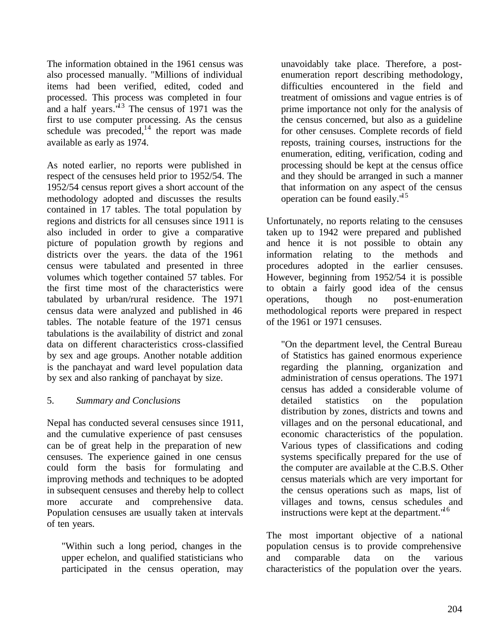The information obtained in the 1961 census was also processed manually. "Millions of individual items had been verified, edited, coded and processed. This process was completed in four and a half years. $1/13$  The census of 1971 was the first to use computer processing. As the census schedule was precoded, $14$  the report was made available as early as 1974.

As noted earlier, no reports were published in respect of the censuses held prior to 1952/54. The 1952/54 census report gives a short account of the methodology adopted and discusses the results contained in 17 tables. The total population by regions and districts for all censuses since 1911 is also included in order to give a comparative picture of population growth by regions and districts over the years. the data of the 1961 census were tabulated and presented in three volumes which together contained 57 tables. For the first time most of the characteristics were tabulated by urban/rural residence. The 1971 census data were analyzed and published in 46 tables. The notable feature of the 1971 census tabulations is the availability of district and zonal data on different characteristics cross-classified by sex and age groups. Another notable addition is the panchayat and ward level population data by sex and also ranking of panchayat by size.

### 5. *Summary and Conclusions*

Nepal has conducted several censuses since 1911, and the cumulative experience of past censuses can be of great help in the preparation of new censuses. The experience gained in one census could form the basis for formulating and improving methods and techniques to be adopted in subsequent censuses and thereby help to collect more accurate and comprehensive data. Population censuses are usually taken at intervals of ten years.

"Within such a long period, changes in the upper echelon, and qualified statisticians who participated in the census operation, may unavoidably take place. Therefore, a postenumeration report describing methodology, difficulties encountered in the field and treatment of omissions and vague entries is of prime importance not only for the analysis of the census concerned, but also as a guideline for other censuses. Complete records of field reposts, training courses, instructions for the enumeration, editing, verification, coding and processing should be kept at the census office and they should be arranged in such a manner that information on any aspect of the census operation can be found easily. $1<sup>d5</sup>$ 

Unfortunately, no reports relating to the censuses taken up to 1942 were prepared and published and hence it is not possible to obtain any information relating to the methods and procedures adopted in the earlier censuses. However, beginning from 1952/54 it is possible to obtain a fairly good idea of the census operations, though no post-enumeration methodological reports were prepared in respect of the 1961 or 1971 censuses.

"On the department level, the Central Bureau of Statistics has gained enormous experience regarding the planning, organization and administration of census operations. The 1971 census has added a considerable volume of detailed statistics on the population distribution by zones, districts and towns and villages and on the personal educational, and economic characteristics of the population. Various types of classifications and coding systems specifically prepared for the use of the computer are available at the C.B.S. Other census materials which are very important for the census operations such as maps, list of villages and towns, census schedules and instructions were kept at the department.<sup>"16</sup>

The most important objective of a national population census is to provide comprehensive and comparable data on the various characteristics of the population over the years.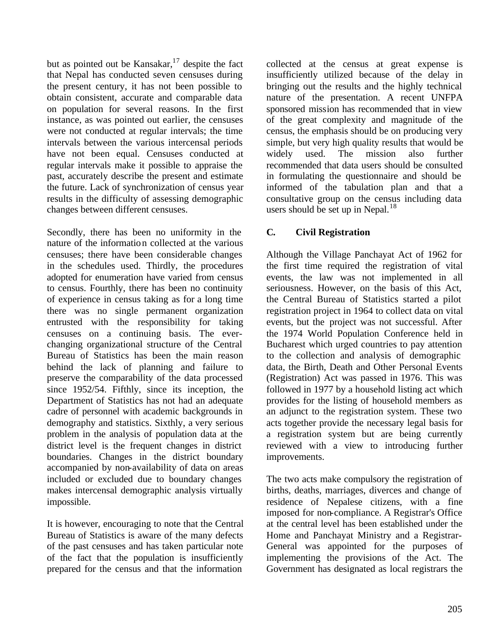but as pointed out be Kansakar,<sup>17</sup> despite the fact that Nepal has conducted seven censuses during the present century, it has not been possible to obtain consistent, accurate and comparable data on population for several reasons. In the first instance, as was pointed out earlier, the censuses were not conducted at regular intervals; the time intervals between the various intercensal periods have not been equal. Censuses conducted at regular intervals make it possible to appraise the past, accurately describe the present and estimate the future. Lack of synchronization of census year results in the difficulty of assessing demographic changes between different censuses.

Secondly, there has been no uniformity in the nature of the information collected at the various censuses; there have been considerable changes in the schedules used. Thirdly, the procedures adopted for enumeration have varied from census to census. Fourthly, there has been no continuity of experience in census taking as for a long time there was no single permanent organization entrusted with the responsibility for taking censuses on a continuing basis. The everchanging organizational structure of the Central Bureau of Statistics has been the main reason behind the lack of planning and failure to preserve the comparability of the data processed since 1952/54. Fifthly, since its inception, the Department of Statistics has not had an adequate cadre of personnel with academic backgrounds in demography and statistics. Sixthly, a very serious problem in the analysis of population data at the district level is the frequent changes in district boundaries. Changes in the district boundary accompanied by non-availability of data on areas included or excluded due to boundary changes makes intercensal demographic analysis virtually impossible.

It is however, encouraging to note that the Central Bureau of Statistics is aware of the many defects of the past censuses and has taken particular note of the fact that the population is insufficiently prepared for the census and that the information

collected at the census at great expense is insufficiently utilized because of the delay in bringing out the results and the highly technical nature of the presentation. A recent UNFPA sponsored mission has recommended that in view of the great complexity and magnitude of the census, the emphasis should be on producing very simple, but very high quality results that would be widely used. The mission also further recommended that data users should be consulted in formulating the questionnaire and should be informed of the tabulation plan and that a consultative group on the census including data users should be set up in Nepal.<sup>18</sup>

# **C. Civil Registration**

Although the Village Panchayat Act of 1962 for the first time required the registration of vital events, the law was not implemented in all seriousness. However, on the basis of this Act, the Central Bureau of Statistics started a pilot registration project in 1964 to collect data on vital events, but the project was not successful. After the 1974 World Population Conference held in Bucharest which urged countries to pay attention to the collection and analysis of demographic data, the Birth, Death and Other Personal Events (Registration) Act was passed in 1976. This was followed in 1977 by a household listing act which provides for the listing of household members as an adjunct to the registration system. These two acts together provide the necessary legal basis for a registration system but are being currently reviewed with a view to introducing further improvements.

The two acts make compulsory the registration of births, deaths, marriages, diverces and change of residence of Nepalese citizens, with a fine imposed for non-compliance. A Registrar's Office at the central level has been established under the Home and Panchayat Ministry and a Registrar-General was appointed for the purposes of implementing the provisions of the Act. The Government has designated as local registrars the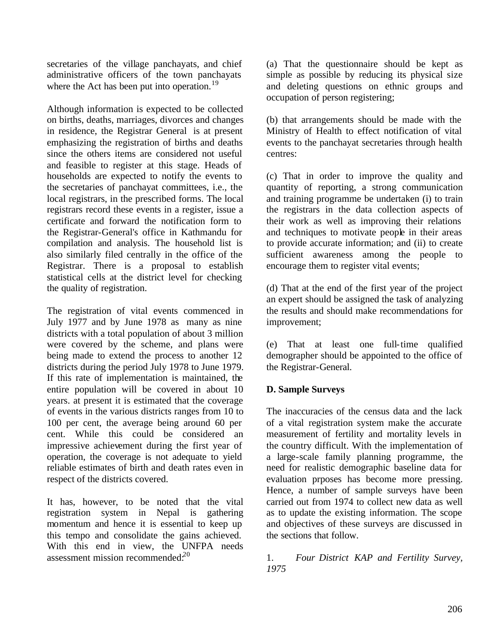secretaries of the village panchayats, and chief administrative officers of the town panchayats where the Act has been put into operation.<sup>19</sup>

Although information is expected to be collected on births, deaths, marriages, divorces and changes in residence, the Registrar General is at present emphasizing the registration of births and deaths since the others items are considered not useful and feasible to register at this stage. Heads of households are expected to notify the events to the secretaries of panchayat committees, i.e., the local registrars, in the prescribed forms. The local registrars record these events in a register, issue a certificate and forward the notification form to the Registrar-General's office in Kathmandu for compilation and analysis. The household list is also similarly filed centrally in the office of the Registrar. There is a proposal to establish statistical cells at the district level for checking the quality of registration.

The registration of vital events commenced in July 1977 and by June 1978 as many as nine districts with a total population of about 3 million were covered by the scheme, and plans were being made to extend the process to another 12 districts during the period July 1978 to June 1979. If this rate of implementation is maintained, the entire population will be covered in about 10 years. at present it is estimated that the coverage of events in the various districts ranges from 10 to 100 per cent, the average being around 60 per cent. While this could be considered an impressive achievement during the first year of operation, the coverage is not adequate to yield reliable estimates of birth and death rates even in respect of the districts covered.

It has, however, to be noted that the vital registration system in Nepal is gathering momentum and hence it is essential to keep up this tempo and consolidate the gains achieved. With this end in view, the UNFPA needs assessment mission recommended. $2^{20}$ 

(a) That the questionnaire should be kept as simple as possible by reducing its physical size and deleting questions on ethnic groups and occupation of person registering;

(b) that arrangements should be made with the Ministry of Health to effect notification of vital events to the panchayat secretaries through health centres:

(c) That in order to improve the quality and quantity of reporting, a strong communication and training programme be undertaken (i) to train the registrars in the data collection aspects of their work as well as improving their relations and techniques to motivate people in their areas to provide accurate information; and (ii) to create sufficient awareness among the people to encourage them to register vital events;

(d) That at the end of the first year of the project an expert should be assigned the task of analyzing the results and should make recommendations for improvement;

(e) That at least one full-time qualified demographer should be appointed to the office of the Registrar-General.

### **D. Sample Surveys**

The inaccuracies of the census data and the lack of a vital registration system make the accurate measurement of fertility and mortality levels in the country difficult. With the implementation of a large-scale family planning programme, the need for realistic demographic baseline data for evaluation prposes has become more pressing. Hence, a number of sample surveys have been carried out from 1974 to collect new data as well as to update the existing information. The scope and objectives of these surveys are discussed in the sections that follow.

1. *Four District KAP and Fertility Survey, 1975*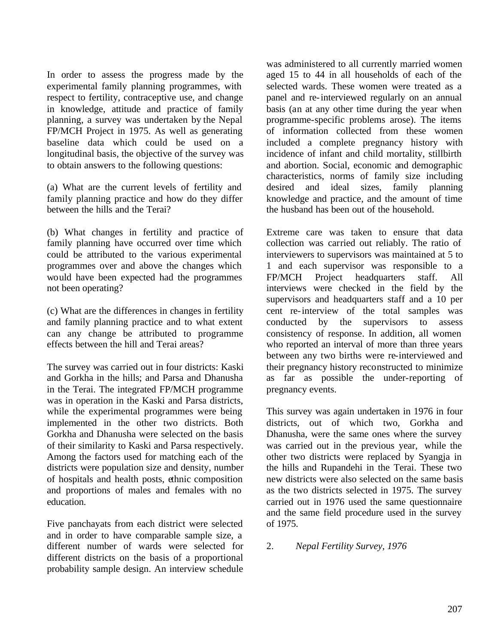In order to assess the progress made by the experimental family planning programmes, with respect to fertility, contraceptive use, and change in knowledge, attitude and practice of family planning, a survey was undertaken by the Nepal FP/MCH Project in 1975. As well as generating baseline data which could be used on a longitudinal basis, the objective of the survey was to obtain answers to the following questions:

(a) What are the current levels of fertility and family planning practice and how do they differ between the hills and the Terai?

(b) What changes in fertility and practice of family planning have occurred over time which could be attributed to the various experimental programmes over and above the changes which would have been expected had the programmes not been operating?

(c) What are the differences in changes in fertility and family planning practice and to what extent can any change be attributed to programme effects between the hill and Terai areas?

The survey was carried out in four districts: Kaski and Gorkha in the hills; and Parsa and Dhanusha in the Terai. The integrated FP/MCH programme was in operation in the Kaski and Parsa districts, while the experimental programmes were being implemented in the other two districts. Both Gorkha and Dhanusha were selected on the basis of their similarity to Kaski and Parsa respectively. Among the factors used for matching each of the districts were population size and density, number of hospitals and health posts, ethnic composition and proportions of males and females with no education.

Five panchayats from each district were selected and in order to have comparable sample size, a different number of wards were selected for different districts on the basis of a proportional probability sample design. An interview schedule

was administered to all currently married women aged 15 to 44 in all households of each of the selected wards. These women were treated as a panel and re-interviewed regularly on an annual basis (an at any other time during the year when programme-specific problems arose). The items of information collected from these women included a complete pregnancy history with incidence of infant and child mortality, stillbirth and abortion. Social, economic and demographic characteristics, norms of family size including desired and ideal sizes, family planning knowledge and practice, and the amount of time the husband has been out of the household.

Extreme care was taken to ensure that data collection was carried out reliably. The ratio of interviewers to supervisors was maintained at 5 to 1 and each supervisor was responsible to a FP/MCH Project headquarters staff. All interviews were checked in the field by the supervisors and headquarters staff and a 10 per cent re-interview of the total samples was conducted by the supervisors to assess consistency of response. In addition, all women who reported an interval of more than three years between any two births were re-interviewed and their pregnancy history reconstructed to minimize as far as possible the under-reporting of pregnancy events.

This survey was again undertaken in 1976 in four districts, out of which two, Gorkha and Dhanusha, were the same ones where the survey was carried out in the previous year, while the other two districts were replaced by Syangja in the hills and Rupandehi in the Terai. These two new districts were also selected on the same basis as the two districts selected in 1975. The survey carried out in 1976 used the same questionnaire and the same field procedure used in the survey of 1975.

### 2. *Nepal Fertility Survey, 1976*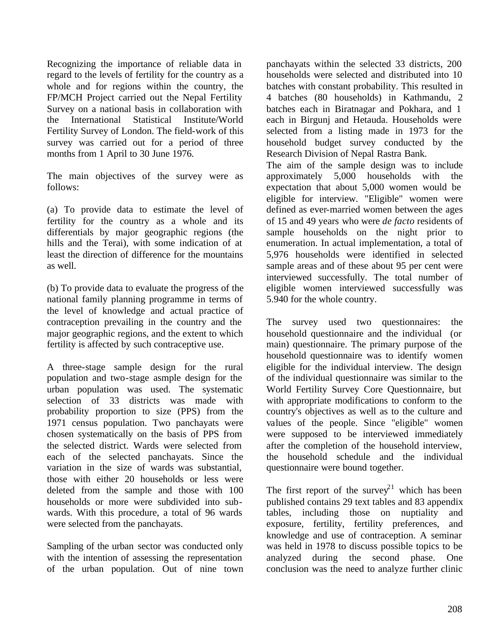Recognizing the importance of reliable data in regard to the levels of fertility for the country as a whole and for regions within the country, the FP/MCH Project carried out the Nepal Fertility Survey on a national basis in collaboration with the International Statistical Institute/World Fertility Survey of London. The field-work of this survey was carried out for a period of three months from 1 April to 30 June 1976.

The main objectives of the survey were as follows:

(a) To provide data to estimate the level of fertility for the country as a whole and its differentials by major geographic regions (the hills and the Terai), with some indication of at least the direction of difference for the mountains as well.

(b) To provide data to evaluate the progress of the national family planning programme in terms of the level of knowledge and actual practice of contraception prevailing in the country and the major geographic regions, and the extent to which fertility is affected by such contraceptive use.

A three-stage sample design for the rural population and two-stage asmple design for the urban population was used. The systematic selection of 33 districts was made with probability proportion to size (PPS) from the 1971 census population. Two panchayats were chosen systematically on the basis of PPS from the selected district. Wards were selected from each of the selected panchayats. Since the variation in the size of wards was substantial, those with either 20 households or less were deleted from the sample and those with 100 households or more were subdivided into subwards. With this procedure, a total of 96 wards were selected from the panchayats.

Sampling of the urban sector was conducted only with the intention of assessing the representation of the urban population. Out of nine town panchayats within the selected 33 districts, 200 households were selected and distributed into 10 batches with constant probability. This resulted in 4 batches (80 households) in Kathmandu, 2 batches each in Biratnagar and Pokhara, and 1 each in Birgunj and Hetauda. Households were selected from a listing made in 1973 for the household budget survey conducted by the Research Division of Nepal Rastra Bank.

The aim of the sample design was to include approximately 5,000 households with the expectation that about 5,000 women would be eligible for interview. "Eligible" women were defined as ever-married women between the ages of 15 and 49 years who were *de facto* residents of sample households on the night prior to enumeration. In actual implementation, a total of 5,976 households were identified in selected sample areas and of these about 95 per cent were interviewed successfully. The total number of eligible women interviewed successfully was 5.940 for the whole country.

The survey used two questionnaires: the household questionnaire and the individual (or main) questionnaire. The primary purpose of the household questionnaire was to identify women eligible for the individual interview. The design of the individual questionnaire was similar to the World Fertility Survey Core Questionnaire, but with appropriate modifications to conform to the country's objectives as well as to the culture and values of the people. Since "eligible" women were supposed to be interviewed immediately after the completion of the household interview, the household schedule and the individual questionnaire were bound together.

The first report of the survey<sup>21</sup> which has been published contains 29 text tables and 83 appendix tables, including those on nuptiality and exposure, fertility, fertility preferences, and knowledge and use of contraception. A seminar was held in 1978 to discuss possible topics to be analyzed during the second phase. One conclusion was the need to analyze further clinic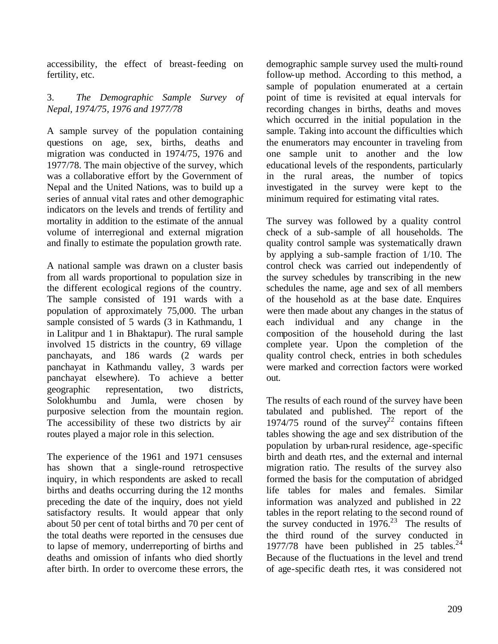accessibility, the effect of breast-feeding on fertility, etc.

#### 3. *The Demographic Sample Survey of Nepal, 1974/75, 1976 and 1977/78*

A sample survey of the population containing questions on age, sex, births, deaths and migration was conducted in 1974/75, 1976 and 1977/78. The main objective of the survey, which was a collaborative effort by the Government of Nepal and the United Nations, was to build up a series of annual vital rates and other demographic indicators on the levels and trends of fertility and mortality in addition to the estimate of the annual volume of interregional and external migration and finally to estimate the population growth rate.

A national sample was drawn on a cluster basis from all wards proportional to population size in the different ecological regions of the country. The sample consisted of 191 wards with a population of approximately 75,000. The urban sample consisted of 5 wards (3 in Kathmandu, 1 in Lalitpur and 1 in Bhaktapur). The rural sample involved 15 districts in the country, 69 village panchayats, and 186 wards (2 wards per panchayat in Kathmandu valley, 3 wards per panchayat elsewhere). To achieve a better geographic representation, two districts, Solokhumbu and Jumla, were chosen by purposive selection from the mountain region. The accessibility of these two districts by air routes played a major role in this selection.

The experience of the 1961 and 1971 censuses has shown that a single-round retrospective inquiry, in which respondents are asked to recall births and deaths occurring during the 12 months preceding the date of the inquiry, does not yield satisfactory results. It would appear that only about 50 per cent of total births and 70 per cent of the total deaths were reported in the censuses due to lapse of memory, underreporting of births and deaths and omission of infants who died shortly after birth. In order to overcome these errors, the

demographic sample survey used the multi-round follow-up method. According to this method, a sample of population enumerated at a certain point of time is revisited at equal intervals for recording changes in births, deaths and moves which occurred in the initial population in the sample. Taking into account the difficulties which the enumerators may encounter in traveling from one sample unit to another and the low educational levels of the respondents, particularly in the rural areas, the number of topics investigated in the survey were kept to the minimum required for estimating vital rates.

The survey was followed by a quality control check of a sub-sample of all households. The quality control sample was systematically drawn by applying a sub-sample fraction of 1/10. The control check was carried out independently of the survey schedules by transcribing in the new schedules the name, age and sex of all members of the household as at the base date. Enquires were then made about any changes in the status of each individual and any change in the composition of the household during the last complete year. Upon the completion of the quality control check, entries in both schedules were marked and correction factors were worked out.

The results of each round of the survey have been tabulated and published. The report of the 1974/75 round of the survey<sup>22</sup> contains fifteen tables showing the age and sex distribution of the population by urban-rural residence, age-specific birth and death rtes, and the external and internal migration ratio. The results of the survey also formed the basis for the computation of abridged life tables for males and females. Similar information was analyzed and published in 22 tables in the report relating to the second round of the survey conducted in  $1976<sup>23</sup>$  The results of the third round of the survey conducted in 1977/78 have been published in 25 tables.<sup>24</sup> Because of the fluctuations in the level and trend of age-specific death rtes, it was considered not